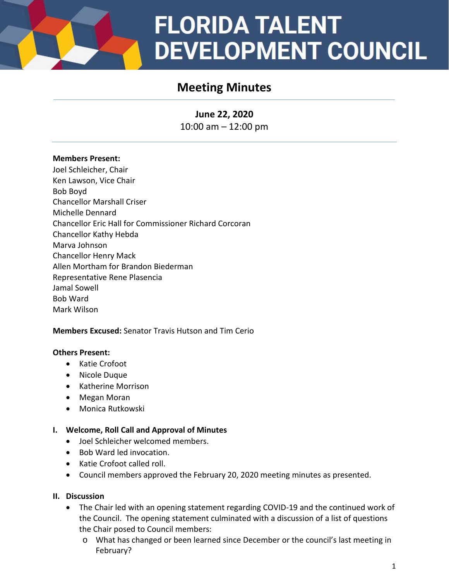# **FLORIDA TALENT DEVELOPMENT COUNCIL**

# **Meeting Minutes**

**June 22, 2020** 10:00 am – 12:00 pm

#### **Members Present:**

Joel Schleicher, Chair Ken Lawson, Vice Chair Bob Boyd Chancellor Marshall Criser Michelle Dennard Chancellor Eric Hall for Commissioner Richard Corcoran Chancellor Kathy Hebda Marva Johnson Chancellor Henry Mack Allen Mortham for Brandon Biederman Representative Rene Plasencia Jamal Sowell Bob Ward Mark Wilson

# **Members Excused:** Senator Travis Hutson and Tim Cerio

#### **Others Present:**

- Katie Crofoot
- Nicole Duque
- Katherine Morrison
- Megan Moran
- Monica Rutkowski

#### **I. Welcome, Roll Call and Approval of Minutes**

- Joel Schleicher welcomed members.
- Bob Ward led invocation.
- Katie Crofoot called roll.
- Council members approved the February 20, 2020 meeting minutes as presented.

#### **II. Discussion**

- The Chair led with an opening statement regarding COVID-19 and the continued work of the Council. The opening statement culminated with a discussion of a list of questions the Chair posed to Council members:
	- o What has changed or been learned since December or the council's last meeting in February?